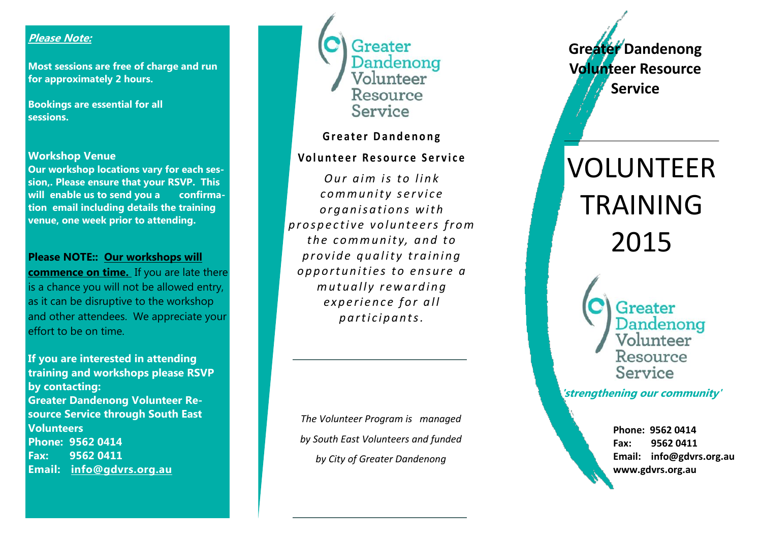## **Please Note:**

**Most sessions are free of charge and run for approximately 2 hours.**

**Bookings are essential for all sessions.**

#### **Workshop Venue**

**Our workshop locations vary for each session,. Please ensure that your RSVP. This will enable us to send you a confirmation email including details the training venue, one week prior to attending.** 

#### **Please NOTE:: Our workshops will**

**commence on time.** If you are late there is a chance you will not be allowed entry, as it can be disruptive to the workshop and other attendees. We appreciate your effort to be on time.

**If you are interested in attending training and workshops please RSVP by contacting: Greater Dandenong Volunteer Resource Service through South East Volunteers Phone: 9562 0414 Fax: 9562 0411 Email: info@gdvrs.org.au** 



## **Greater Dandenong**

## **Vo l u n t e e r R e s o u r c e S e r v i c e**

*<u>Our aim is to link</u>*  $comm$ *unity service o r g a n i s a t i o n s w i t h p r o s p e c t i v e v o l u n t e e r s f r o m t h e c o m m u n i t y, a n d t o p r o v i d e q u a l i t y t r a i n i n g o p p o r t u n i t i e s t o e n s u r e a m u t u a l l y r e w a r d i n g experience for all p a r t i c i p a n t s .* 

*The Volunteer Program is managed by South East Volunteers and funded by City of Greater Dandenong* 

**Greater Dandenong Volunteer Resource Service**

# VOLUNTEER TRAINING 2015

Greater Dandenong Volunteer Resource Service

**'strengthening our community'**

**Phone: 9562 0414 Fax: 9562 0411 Email: info@gdvrs.org.au www.gdvrs.org.au**